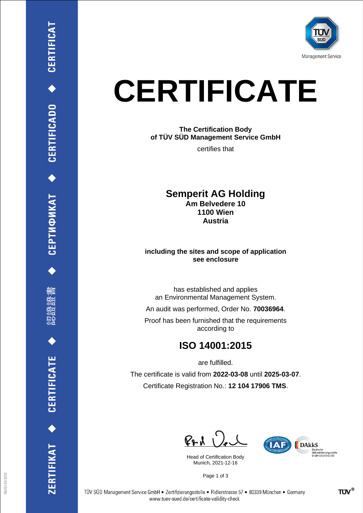

# **CERTIFICATE**

**The Certification Body of TÜV SÜD Management Service GmbH**

certifies that

#### **Semperit AG Holding Am Belvedere 10 1100 Wien**

**Austria**

#### **including the sites and scope of application see enclosure**

has established and applies an Environmental Management System.

An audit was performed, Order No. **70036964**.

Proof has been furnished that the requirements according to

# **ISO 14001:2015**

are fulfilled.

The certificate is valid from **2022-03-08** until **2025-03-07**. Certificate Registration No.: **12 104 17906 TMS**.

 $PAU$ 

Head of Certification Body Munich, 2021-12-16



Page 1 of 3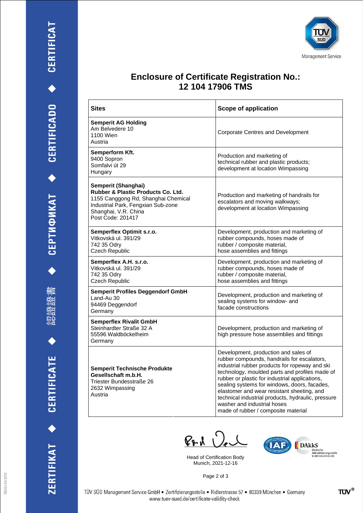





## **Enclosure of Certificate Registration No.: 12 104 17906 TMS**

| <b>Sites</b>                                                                                                                                                                        | <b>Scope of application</b>                                                                                                                                                                                                                                                                                                                                                                                                                                         |
|-------------------------------------------------------------------------------------------------------------------------------------------------------------------------------------|---------------------------------------------------------------------------------------------------------------------------------------------------------------------------------------------------------------------------------------------------------------------------------------------------------------------------------------------------------------------------------------------------------------------------------------------------------------------|
| <b>Semperit AG Holding</b><br>Am Belvedere 10<br>1100 Wien<br>Austria                                                                                                               | Corporate Centres and Development                                                                                                                                                                                                                                                                                                                                                                                                                                   |
| Semperform Kft.<br>9400 Sopron<br>Somfalvi út 29<br>Hungary                                                                                                                         | Production and marketing of<br>technical rubber and plastic products;<br>development at location Wimpassing                                                                                                                                                                                                                                                                                                                                                         |
| Semperit (Shanghai)<br>Rubber & Plastic Products Co. Ltd.<br>1155 Canggong Rd, Shanghai Chemical<br>Industrial Park, Fengxian Sub-zone<br>Shanghai, V.R. China<br>Post Code: 201417 | Production and marketing of handrails for<br>escalators and moving walkways;<br>development at location Wimpassing                                                                                                                                                                                                                                                                                                                                                  |
| Semperflex Optimit s.r.o.<br>Vitkovská ul. 391/29<br>742 35 Odry<br>Czech Republic                                                                                                  | Development, production and marketing of<br>rubber compounds, hoses made of<br>rubber / composite material,<br>hose assemblies and fittings                                                                                                                                                                                                                                                                                                                         |
| Semperflex A.H. s.r.o.<br>Vitkovská ul. 391/29<br>742 35 Odry<br>Czech Republic                                                                                                     | Development, production and marketing of<br>rubber compounds, hoses made of<br>rubber / composite material,<br>hose assemblies and fittings                                                                                                                                                                                                                                                                                                                         |
| <b>Semperit Profiles Deggendorf GmbH</b><br>Land-Au 30<br>94469 Deggendorf<br>Germany                                                                                               | Development, production and marketing of<br>sealing systems for window- and<br>facade constructions                                                                                                                                                                                                                                                                                                                                                                 |
| <b>Semperflex Rivalit GmbH</b><br>Steinhardter Straße 32 A<br>55596 Waldböckelheim<br>Germany                                                                                       | Development, production and marketing of<br>high pressure hose assemblies and fittings                                                                                                                                                                                                                                                                                                                                                                              |
| <b>Semperit Technische Produkte</b><br>Gesellschaft m.b.H.<br>Triester Bundesstraße 26<br>2632 Wimpassing<br>Austria                                                                | Development, production and sales of<br>rubber compounds, handrails for escalators,<br>industrial rubber products for ropeway and ski<br>technology, moulded parts and profiles made of<br>rubber or plastic for industrial applications,<br>sealing systems for windows, doors, facades,<br>elastomer and wear resistant sheeting, and<br>technical industrial products, hydraulic, pressure<br>washer and industrial hoses<br>made of rubber / composite material |

 $P + 1$ 

Head of Certification Body Munich, 2021-12-16



Page 2 of 3